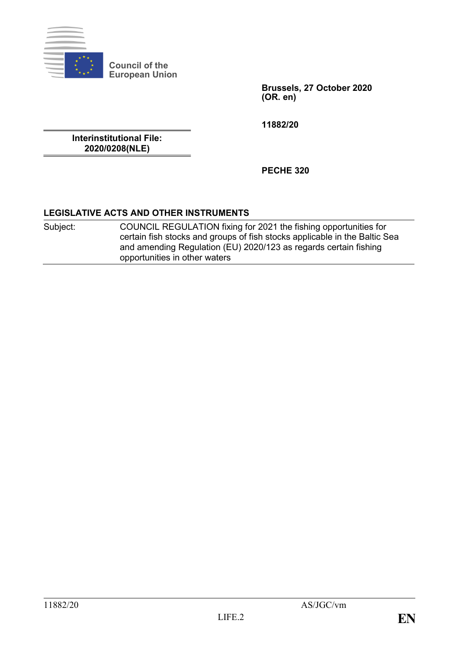

**Council of the European Union**

> **Brussels, 27 October 2020 (OR. en)**

**11882/20**

**Interinstitutional File: 2020/0208(NLE)**

**PECHE 320**

# **LEGISLATIVE ACTS AND OTHER INSTRUMENTS**

Subject: COUNCIL REGULATION fixing for 2021 the fishing opportunities for certain fish stocks and groups of fish stocks applicable in the Baltic Sea and amending Regulation (EU) 2020/123 as regards certain fishing opportunities in other waters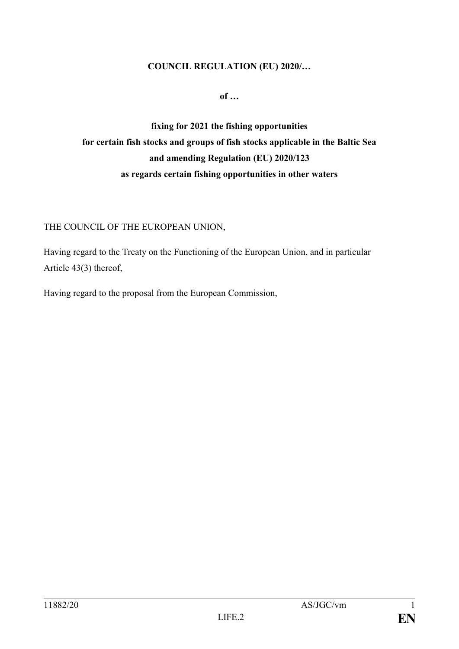#### **COUNCIL REGULATION (EU) 2020/…**

**of …**

# **fixing for 2021 the fishing opportunities for certain fish stocks and groups of fish stocks applicable in the Baltic Sea and amending Regulation (EU) 2020/123 as regards certain fishing opportunities in other waters**

### THE COUNCIL OF THE EUROPEAN UNION,

Having regard to the Treaty on the Functioning of the European Union, and in particular Article 43(3) thereof,

Having regard to the proposal from the European Commission,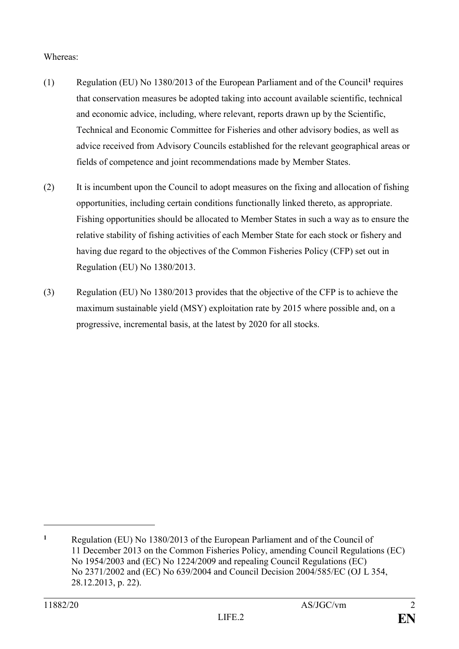#### Whereas:

- (1) Regulation (EU) No 1380/2013 of the European Parliament and of the Council**<sup>1</sup>** requires that conservation measures be adopted taking into account available scientific, technical and economic advice, including, where relevant, reports drawn up by the Scientific, Technical and Economic Committee for Fisheries and other advisory bodies, as well as advice received from Advisory Councils established for the relevant geographical areas or fields of competence and joint recommendations made by Member States.
- (2) It is incumbent upon the Council to adopt measures on the fixing and allocation of fishing opportunities, including certain conditions functionally linked thereto, as appropriate. Fishing opportunities should be allocated to Member States in such a way as to ensure the relative stability of fishing activities of each Member State for each stock or fishery and having due regard to the objectives of the Common Fisheries Policy (CFP) set out in Regulation (EU) No 1380/2013.
- (3) Regulation (EU) No 1380/2013 provides that the objective of the CFP is to achieve the maximum sustainable yield (MSY) exploitation rate by 2015 where possible and, on a progressive, incremental basis, at the latest by 2020 for all stocks.

<u>.</u>

**<sup>1</sup>** Regulation (EU) No 1380/2013 of the European Parliament and of the Council of 11 December 2013 on the Common Fisheries Policy, amending Council Regulations (EC) No 1954/2003 and (EC) No 1224/2009 and repealing Council Regulations (EC) No 2371/2002 and (EC) No 639/2004 and Council Decision 2004/585/EC (OJ L 354, 28.12.2013, p. 22).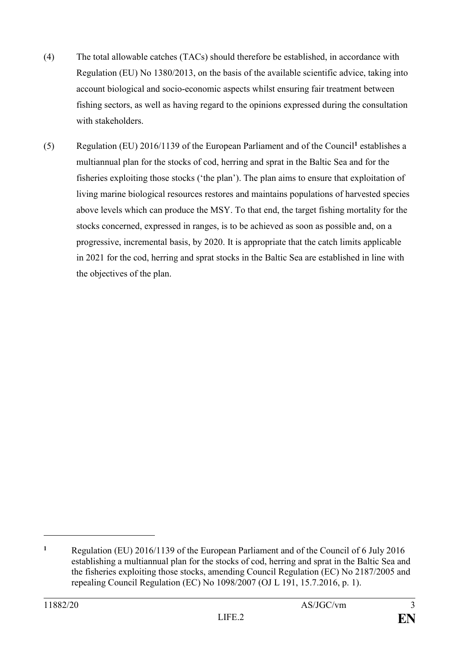- (4) The total allowable catches (TACs) should therefore be established, in accordance with Regulation (EU) No 1380/2013, on the basis of the available scientific advice, taking into account biological and socio-economic aspects whilst ensuring fair treatment between fishing sectors, as well as having regard to the opinions expressed during the consultation with stakeholders.
- (5) Regulation (EU) 2016/1139 of the European Parliament and of the Council**<sup>1</sup>** establishes a multiannual plan for the stocks of cod, herring and sprat in the Baltic Sea and for the fisheries exploiting those stocks ('the plan'). The plan aims to ensure that exploitation of living marine biological resources restores and maintains populations of harvested species above levels which can produce the MSY. To that end, the target fishing mortality for the stocks concerned, expressed in ranges, is to be achieved as soon as possible and, on a progressive, incremental basis, by 2020. It is appropriate that the catch limits applicable in 2021 for the cod, herring and sprat stocks in the Baltic Sea are established in line with the objectives of the plan.

<u>.</u>

**<sup>1</sup>** Regulation (EU) 2016/1139 of the European Parliament and of the Council of 6 July 2016 establishing a multiannual plan for the stocks of cod, herring and sprat in the Baltic Sea and the fisheries exploiting those stocks, amending Council Regulation (EC) No 2187/2005 and repealing Council Regulation (EC) No 1098/2007 (OJ L 191, 15.7.2016, p. 1).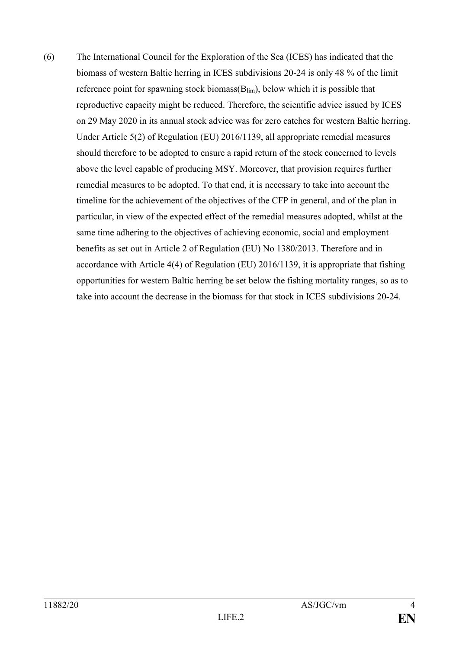(6) The International Council for the Exploration of the Sea (ICES) has indicated that the biomass of western Baltic herring in ICES subdivisions 20-24 is only 48 % of the limit reference point for spawning stock biomass $(B_{lim})$ , below which it is possible that reproductive capacity might be reduced. Therefore, the scientific advice issued by ICES on 29 May 2020 in its annual stock advice was for zero catches for western Baltic herring. Under Article 5(2) of Regulation (EU) 2016/1139, all appropriate remedial measures should therefore to be adopted to ensure a rapid return of the stock concerned to levels above the level capable of producing MSY. Moreover, that provision requires further remedial measures to be adopted. To that end, it is necessary to take into account the timeline for the achievement of the objectives of the CFP in general, and of the plan in particular, in view of the expected effect of the remedial measures adopted, whilst at the same time adhering to the objectives of achieving economic, social and employment benefits as set out in Article 2 of Regulation (EU) No 1380/2013. Therefore and in accordance with Article 4(4) of Regulation (EU) 2016/1139, it is appropriate that fishing opportunities for western Baltic herring be set below the fishing mortality ranges, so as to take into account the decrease in the biomass for that stock in ICES subdivisions 20-24.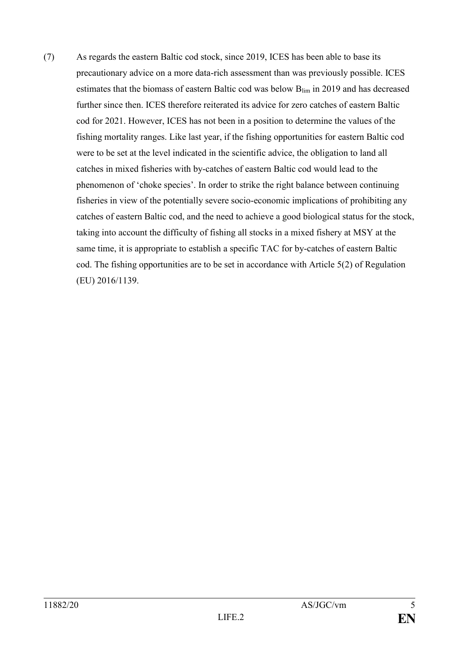(7) As regards the eastern Baltic cod stock, since 2019, ICES has been able to base its precautionary advice on a more data-rich assessment than was previously possible. ICES estimates that the biomass of eastern Baltic cod was below Blim in 2019 and has decreased further since then. ICES therefore reiterated its advice for zero catches of eastern Baltic cod for 2021. However, ICES has not been in a position to determine the values of the fishing mortality ranges. Like last year, if the fishing opportunities for eastern Baltic cod were to be set at the level indicated in the scientific advice, the obligation to land all catches in mixed fisheries with by-catches of eastern Baltic cod would lead to the phenomenon of 'choke species'. In order to strike the right balance between continuing fisheries in view of the potentially severe socio-economic implications of prohibiting any catches of eastern Baltic cod, and the need to achieve a good biological status for the stock, taking into account the difficulty of fishing all stocks in a mixed fishery at MSY at the same time, it is appropriate to establish a specific TAC for by-catches of eastern Baltic cod. The fishing opportunities are to be set in accordance with Article 5(2) of Regulation (EU) 2016/1139.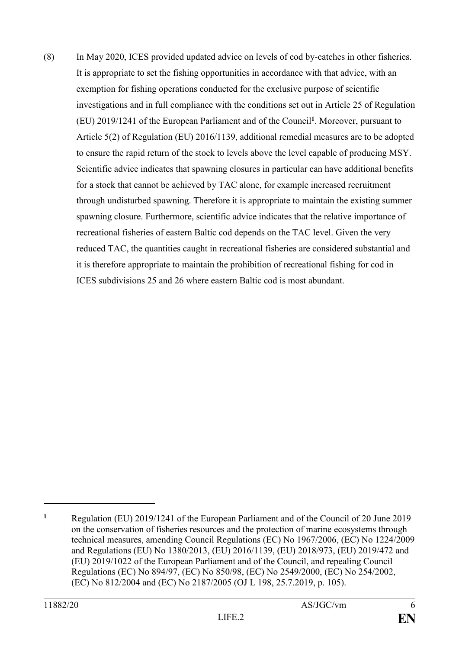(8) In May 2020, ICES provided updated advice on levels of cod by-catches in other fisheries. It is appropriate to set the fishing opportunities in accordance with that advice, with an exemption for fishing operations conducted for the exclusive purpose of scientific investigations and in full compliance with the conditions set out in Article 25 of Regulation (EU) 2019/1241 of the European Parliament and of the Council**<sup>1</sup>** . Moreover, pursuant to Article 5(2) of Regulation (EU) 2016/1139, additional remedial measures are to be adopted to ensure the rapid return of the stock to levels above the level capable of producing MSY. Scientific advice indicates that spawning closures in particular can have additional benefits for a stock that cannot be achieved by TAC alone, for example increased recruitment through undisturbed spawning. Therefore it is appropriate to maintain the existing summer spawning closure. Furthermore, scientific advice indicates that the relative importance of recreational fisheries of eastern Baltic cod depends on the TAC level. Given the very reduced TAC, the quantities caught in recreational fisheries are considered substantial and it is therefore appropriate to maintain the prohibition of recreational fishing for cod in ICES subdivisions 25 and 26 where eastern Baltic cod is most abundant.

**<sup>1</sup>** Regulation (EU) 2019/1241 of the European Parliament and of the Council of 20 June 2019 on the conservation of fisheries resources and the protection of marine ecosystems through technical measures, amending Council Regulations (EC) No 1967/2006, (EC) No 1224/2009 and Regulations (EU) No 1380/2013, (EU) 2016/1139, (EU) 2018/973, (EU) 2019/472 and (EU) 2019/1022 of the European Parliament and of the Council, and repealing Council Regulations (EC) No 894/97, (EC) No 850/98, (EC) No 2549/2000, (EC) No 254/2002, (EC) No 812/2004 and (EC) No 2187/2005 (OJ L 198, 25.7.2019, p. 105).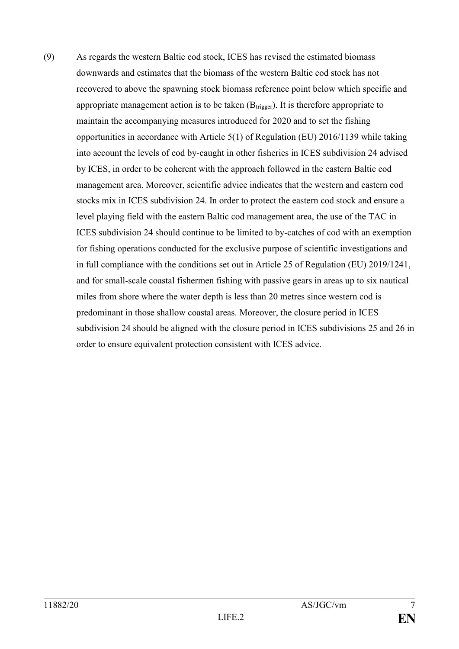(9) As regards the western Baltic cod stock, ICES has revised the estimated biomass downwards and estimates that the biomass of the western Baltic cod stock has not recovered to above the spawning stock biomass reference point below which specific and appropriate management action is to be taken  $(B_{trigger})$ . It is therefore appropriate to maintain the accompanying measures introduced for 2020 and to set the fishing opportunities in accordance with Article 5(1) of Regulation (EU) 2016/1139 while taking into account the levels of cod by-caught in other fisheries in ICES subdivision 24 advised by ICES, in order to be coherent with the approach followed in the eastern Baltic cod management area. Moreover, scientific advice indicates that the western and eastern cod stocks mix in ICES subdivision 24. In order to protect the eastern cod stock and ensure a level playing field with the eastern Baltic cod management area, the use of the TAC in ICES subdivision 24 should continue to be limited to by-catches of cod with an exemption for fishing operations conducted for the exclusive purpose of scientific investigations and in full compliance with the conditions set out in Article 25 of Regulation (EU) 2019/1241, and for small-scale coastal fishermen fishing with passive gears in areas up to six nautical miles from shore where the water depth is less than 20 metres since western cod is predominant in those shallow coastal areas. Moreover, the closure period in ICES subdivision 24 should be aligned with the closure period in ICES subdivisions 25 and 26 in order to ensure equivalent protection consistent with ICES advice.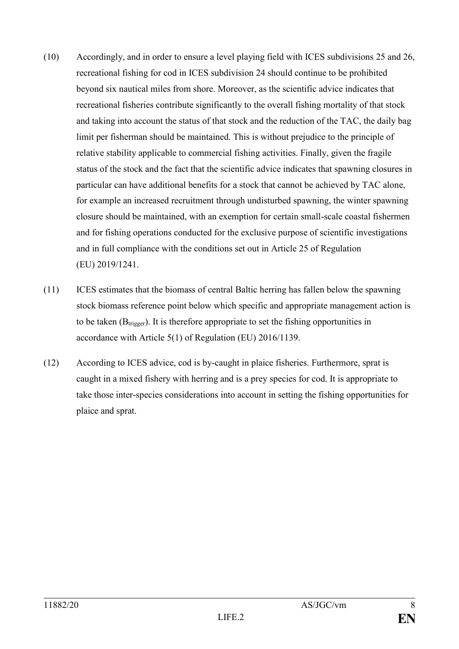- (10) Accordingly, and in order to ensure a level playing field with ICES subdivisions 25 and 26, recreational fishing for cod in ICES subdivision 24 should continue to be prohibited beyond six nautical miles from shore. Moreover, as the scientific advice indicates that recreational fisheries contribute significantly to the overall fishing mortality of that stock and taking into account the status of that stock and the reduction of the TAC, the daily bag limit per fisherman should be maintained. This is without prejudice to the principle of relative stability applicable to commercial fishing activities. Finally, given the fragile status of the stock and the fact that the scientific advice indicates that spawning closures in particular can have additional benefits for a stock that cannot be achieved by TAC alone, for example an increased recruitment through undisturbed spawning, the winter spawning closure should be maintained, with an exemption for certain small-scale coastal fishermen and for fishing operations conducted for the exclusive purpose of scientific investigations and in full compliance with the conditions set out in Article 25 of Regulation (EU) 2019/1241.
- (11) ICES estimates that the biomass of central Baltic herring has fallen below the spawning stock biomass reference point below which specific and appropriate management action is to be taken  $(B_{trigger})$ . It is therefore appropriate to set the fishing opportunities in accordance with Article 5(1) of Regulation (EU) 2016/1139.
- (12) According to ICES advice, cod is by-caught in plaice fisheries. Furthermore, sprat is caught in a mixed fishery with herring and is a prey species for cod. It is appropriate to take those inter-species considerations into account in setting the fishing opportunities for plaice and sprat.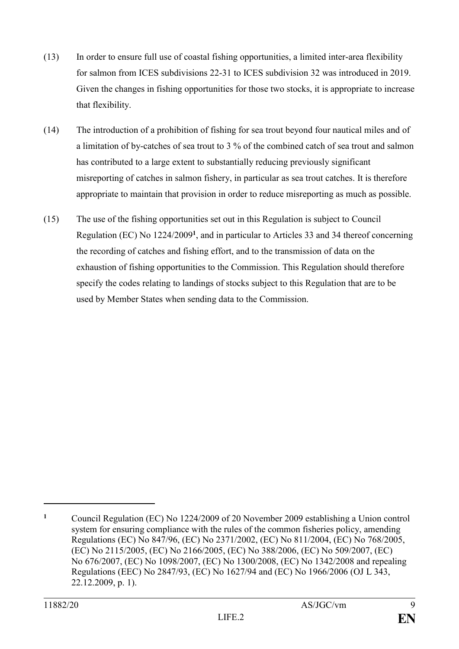- (13) In order to ensure full use of coastal fishing opportunities, a limited inter-area flexibility for salmon from ICES subdivisions 22-31 to ICES subdivision 32 was introduced in 2019. Given the changes in fishing opportunities for those two stocks, it is appropriate to increase that flexibility.
- (14) The introduction of a prohibition of fishing for sea trout beyond four nautical miles and of a limitation of by-catches of sea trout to 3 % of the combined catch of sea trout and salmon has contributed to a large extent to substantially reducing previously significant misreporting of catches in salmon fishery, in particular as sea trout catches. It is therefore appropriate to maintain that provision in order to reduce misreporting as much as possible.
- (15) The use of the fishing opportunities set out in this Regulation is subject to Council Regulation (EC) No 1224/2009**<sup>1</sup>** , and in particular to Articles 33 and 34 thereof concerning the recording of catches and fishing effort, and to the transmission of data on the exhaustion of fishing opportunities to the Commission. This Regulation should therefore specify the codes relating to landings of stocks subject to this Regulation that are to be used by Member States when sending data to the Commission.

**<sup>1</sup>** Council Regulation (EC) No 1224/2009 of 20 November 2009 establishing a Union control system for ensuring compliance with the rules of the common fisheries policy, amending Regulations (EC) No 847/96, (EC) No 2371/2002, (EC) No 811/2004, (EC) No 768/2005, (EC) No 2115/2005, (EC) No 2166/2005, (EC) No 388/2006, (EC) No 509/2007, (EC) No 676/2007, (EC) No 1098/2007, (EC) No 1300/2008, (EC) No 1342/2008 and repealing Regulations (EEC) No 2847/93, (EC) No 1627/94 and (EC) No 1966/2006 (OJ L [343,](http://eur-lex.europa.eu/legal-content/EN/AUTO/?uri=OJ:L:2009:343:TOC)  [22.12.2009, p.](http://eur-lex.europa.eu/legal-content/EN/AUTO/?uri=OJ:L:2009:343:TOC) 1).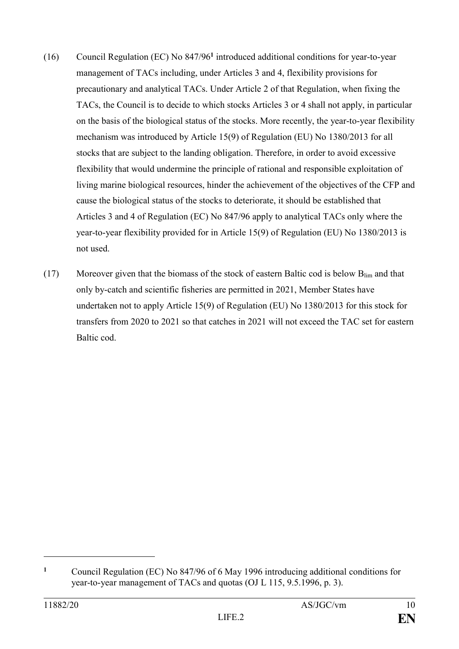- (16) Council Regulation (EC) No 847/96**<sup>1</sup>** introduced additional conditions for year-to-year management of TACs including, under Articles 3 and 4, flexibility provisions for precautionary and analytical TACs. Under Article 2 of that Regulation, when fixing the TACs, the Council is to decide to which stocks Articles 3 or 4 shall not apply, in particular on the basis of the biological status of the stocks. More recently, the year-to-year flexibility mechanism was introduced by Article 15(9) of Regulation (EU) No 1380/2013 for all stocks that are subject to the landing obligation. Therefore, in order to avoid excessive flexibility that would undermine the principle of rational and responsible exploitation of living marine biological resources, hinder the achievement of the objectives of the CFP and cause the biological status of the stocks to deteriorate, it should be established that Articles 3 and 4 of Regulation (EC) No 847/96 apply to analytical TACs only where the year-to-year flexibility provided for in Article 15(9) of Regulation (EU) No 1380/2013 is not used.
- (17) Moreover given that the biomass of the stock of eastern Baltic cod is below  $B_{\text{lim}}$  and that only by-catch and scientific fisheries are permitted in 2021, Member States have undertaken not to apply Article 15(9) of Regulation (EU) No 1380/2013 for this stock for transfers from 2020 to 2021 so that catches in 2021 will not exceed the TAC set for eastern Baltic cod.

**<sup>1</sup>** Council Regulation (EC) No 847/96 of 6 May 1996 introducing additional conditions for year-to-year management of TACs and quotas (OJ L 115, 9.5.1996, p. 3).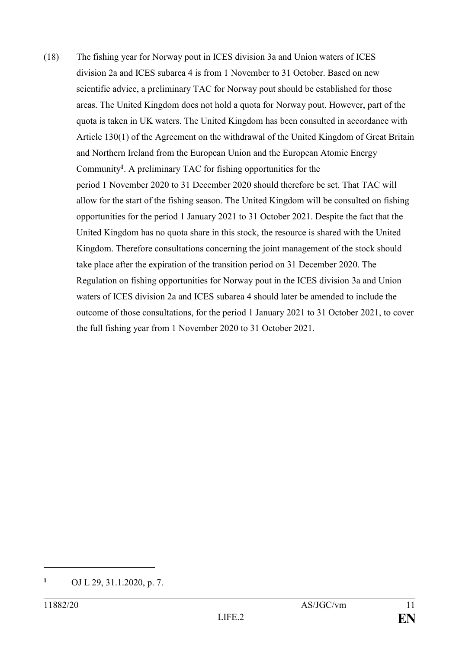(18) The fishing year for Norway pout in ICES division 3a and Union waters of ICES division 2a and ICES subarea 4 is from 1 November to 31 October. Based on new scientific advice, a preliminary TAC for Norway pout should be established for those areas. The United Kingdom does not hold a quota for Norway pout. However, part of the quota is taken in UK waters. The United Kingdom has been consulted in accordance with Article 130(1) of the Agreement on the withdrawal of the United Kingdom of Great Britain and Northern Ireland from the European Union and the European Atomic Energy Community**<sup>1</sup>** . A preliminary TAC for fishing opportunities for the period 1 November 2020 to 31 December 2020 should therefore be set. That TAC will allow for the start of the fishing season. The United Kingdom will be consulted on fishing opportunities for the period 1 January 2021 to 31 October 2021. Despite the fact that the United Kingdom has no quota share in this stock, the resource is shared with the United Kingdom. Therefore consultations concerning the joint management of the stock should take place after the expiration of the transition period on 31 December 2020. The Regulation on fishing opportunities for Norway pout in the ICES division 3a and Union waters of ICES division 2a and ICES subarea 4 should later be amended to include the outcome of those consultations, for the period 1 January 2021 to 31 October 2021, to cover the full fishing year from 1 November 2020 to 31 October 2021.

**<sup>1</sup>** OJ L 29, 31.1.2020, p. 7.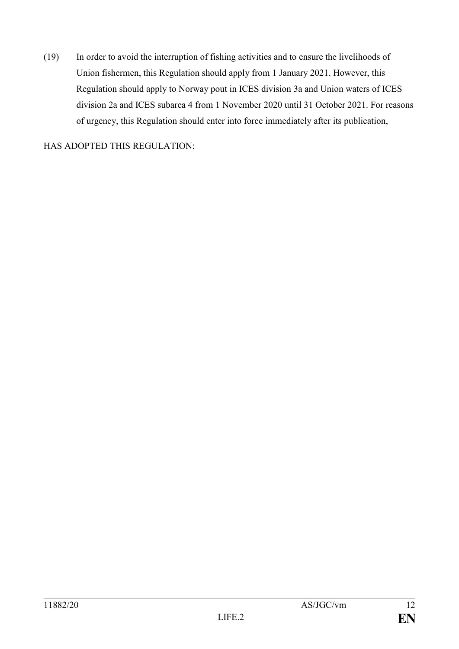(19) In order to avoid the interruption of fishing activities and to ensure the livelihoods of Union fishermen, this Regulation should apply from 1 January 2021. However, this Regulation should apply to Norway pout in ICES division 3a and Union waters of ICES division 2a and ICES subarea 4 from 1 November 2020 until 31 October 2021. For reasons of urgency, this Regulation should enter into force immediately after its publication,

HAS ADOPTED THIS REGULATION: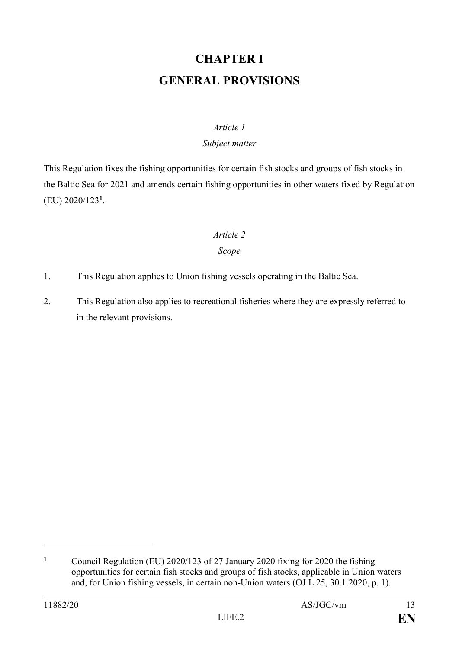# **CHAPTER I GENERAL PROVISIONS**

#### *Article 1*

#### *Subject matter*

This Regulation fixes the fishing opportunities for certain fish stocks and groups of fish stocks in the Baltic Sea for 2021 and amends certain fishing opportunities in other waters fixed by Regulation (EU) 2020/123**<sup>1</sup>** .

# *Article 2*

### *Scope*

- 1. This Regulation applies to Union fishing vessels operating in the Baltic Sea.
- 2. This Regulation also applies to recreational fisheries where they are expressly referred to in the relevant provisions.

**<sup>1</sup>** Council Regulation (EU) 2020/123 of 27 January 2020 fixing for 2020 the fishing opportunities for certain fish stocks and groups of fish stocks, applicable in Union waters and, for Union fishing vessels, in certain non-Union waters (OJ L 25, 30.1.2020, p. 1).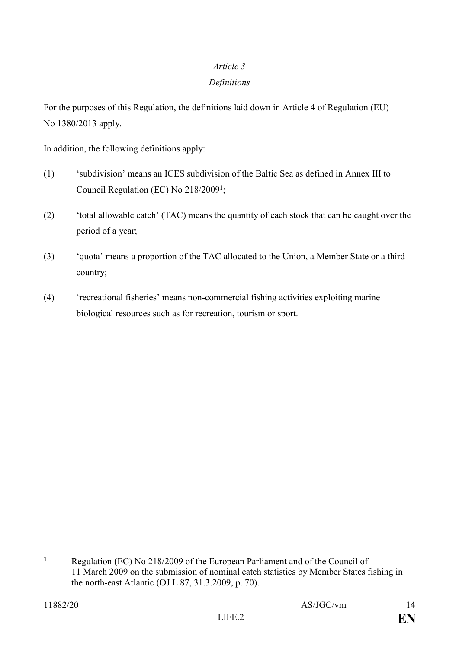# *Article 3*

## *Definitions*

For the purposes of this Regulation, the definitions laid down in Article 4 of Regulation (EU) No 1380/2013 apply.

In addition, the following definitions apply:

- (1) 'subdivision' means an ICES subdivision of the Baltic Sea as defined in Annex III to Council Regulation (EC) No 218/2009**<sup>1</sup>** ;
- (2) 'total allowable catch' (TAC) means the quantity of each stock that can be caught over the period of a year;
- (3) 'quota' means a proportion of the TAC allocated to the Union, a Member State or a third country;
- (4) 'recreational fisheries' means non-commercial fishing activities exploiting marine biological resources such as for recreation, tourism or sport.

**<sup>1</sup>** Regulation (EC) No 218/2009 of the European Parliament and of the Council of 11 March 2009 on the submission of nominal catch statistics by Member States fishing in the north-east Atlantic (OJ L 87, 31.3.2009, p. 70).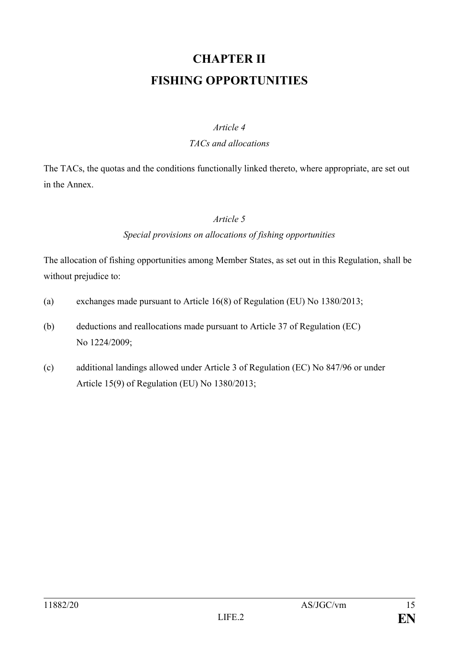# **CHAPTER II FISHING OPPORTUNITIES**

#### *Article 4*

#### *TACs and allocations*

The TACs, the quotas and the conditions functionally linked thereto, where appropriate, are set out in the Annex.

### *Article 5*

# *Special provisions on allocations of fishing opportunities*

The allocation of fishing opportunities among Member States, as set out in this Regulation, shall be without prejudice to:

- (a) exchanges made pursuant to Article 16(8) of Regulation (EU) No 1380/2013;
- (b) deductions and reallocations made pursuant to Article 37 of Regulation (EC) No 1224/2009;
- (c) additional landings allowed under Article 3 of Regulation (EC) No 847/96 or under Article 15(9) of Regulation (EU) No 1380/2013;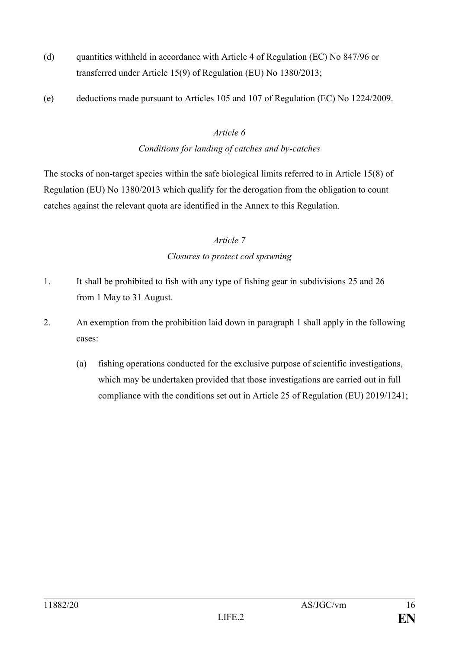- (d) quantities withheld in accordance with Article 4 of Regulation (EC) No 847/96 or transferred under Article 15(9) of Regulation (EU) No 1380/2013;
- (e) deductions made pursuant to Articles 105 and 107 of Regulation (EC) No 1224/2009.

#### *Article 6*

# *Conditions for landing of catches and by-catches*

The stocks of non-target species within the safe biological limits referred to in Article 15(8) of Regulation (EU) No 1380/2013 which qualify for the derogation from the obligation to count catches against the relevant quota are identified in the Annex to this Regulation.

### *Article 7*

### *Closures to protect cod spawning*

- 1. It shall be prohibited to fish with any type of fishing gear in subdivisions 25 and 26 from 1 May to 31 August.
- 2. An exemption from the prohibition laid down in paragraph 1 shall apply in the following cases:
	- (a) fishing operations conducted for the exclusive purpose of scientific investigations, which may be undertaken provided that those investigations are carried out in full compliance with the conditions set out in Article 25 of Regulation (EU) 2019/1241;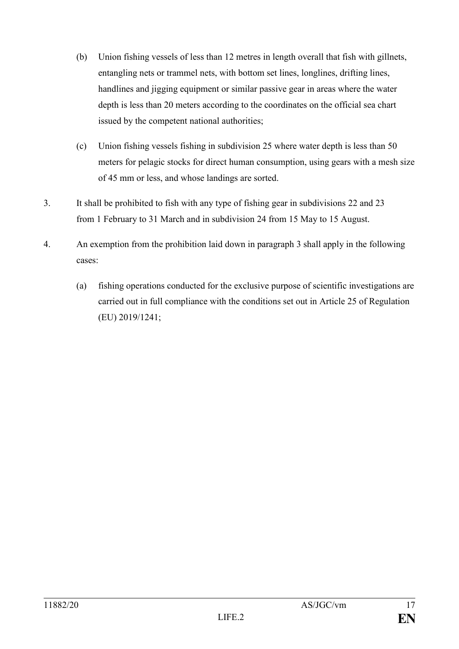- (b) Union fishing vessels of less than 12 metres in length overall that fish with gillnets, entangling nets or trammel nets, with bottom set lines, longlines, drifting lines, handlines and jigging equipment or similar passive gear in areas where the water depth is less than 20 meters according to the coordinates on the official sea chart issued by the competent national authorities;
- (c) Union fishing vessels fishing in subdivision 25 where water depth is less than 50 meters for pelagic stocks for direct human consumption, using gears with a mesh size of 45 mm or less, and whose landings are sorted.
- 3. It shall be prohibited to fish with any type of fishing gear in subdivisions 22 and 23 from 1 February to 31 March and in subdivision 24 from 15 May to 15 August.
- 4. An exemption from the prohibition laid down in paragraph 3 shall apply in the following cases:
	- (a) fishing operations conducted for the exclusive purpose of scientific investigations are carried out in full compliance with the conditions set out in Article 25 of Regulation (EU) 2019/1241;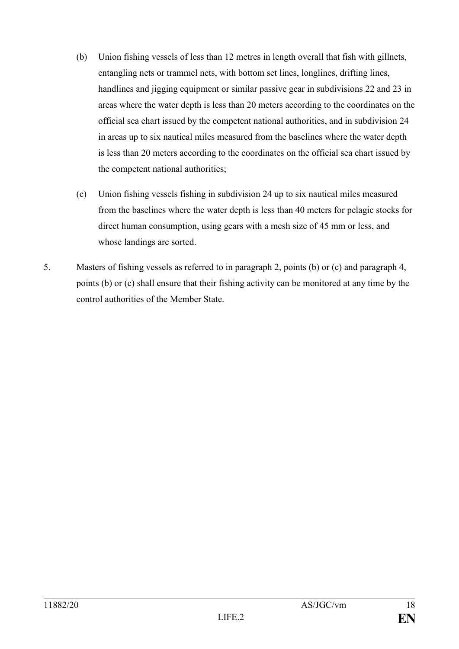- (b) Union fishing vessels of less than 12 metres in length overall that fish with gillnets, entangling nets or trammel nets, with bottom set lines, longlines, drifting lines, handlines and jigging equipment or similar passive gear in subdivisions 22 and 23 in areas where the water depth is less than 20 meters according to the coordinates on the official sea chart issued by the competent national authorities, and in subdivision 24 in areas up to six nautical miles measured from the baselines where the water depth is less than 20 meters according to the coordinates on the official sea chart issued by the competent national authorities;
- (c) Union fishing vessels fishing in subdivision 24 up to six nautical miles measured from the baselines where the water depth is less than 40 meters for pelagic stocks for direct human consumption, using gears with a mesh size of 45 mm or less, and whose landings are sorted.
- 5. Masters of fishing vessels as referred to in paragraph 2, points (b) or (c) and paragraph 4, points (b) or (c) shall ensure that their fishing activity can be monitored at any time by the control authorities of the Member State.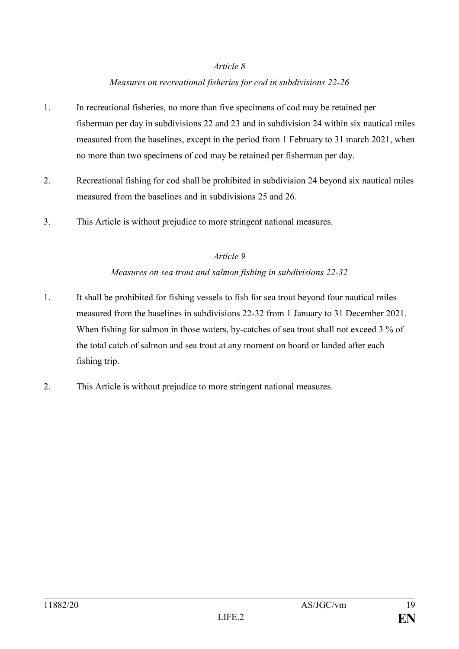#### *Article 8*

# *Measures on recreational fisheries for cod in subdivisions 22-26*

- 1. In recreational fisheries, no more than five specimens of cod may be retained per fisherman per day in subdivisions 22 and 23 and in subdivision 24 within six nautical miles measured from the baselines, except in the period from 1 February to 31 march 2021, when no more than two specimens of cod may be retained per fisherman per day.
- 2. Recreational fishing for cod shall be prohibited in subdivision 24 beyond six nautical miles measured from the baselines and in subdivisions 25 and 26.
- 3. This Article is without prejudice to more stringent national measures.

#### *Article 9*

#### *Measures on sea trout and salmon fishing in subdivisions 22-32*

- 1. It shall be prohibited for fishing vessels to fish for sea trout beyond four nautical miles measured from the baselines in subdivisions 22-32 from 1 January to 31 December 2021. When fishing for salmon in those waters, by-catches of sea trout shall not exceed 3 % of the total catch of salmon and sea trout at any moment on board or landed after each fishing trip.
- 2. This Article is without prejudice to more stringent national measures.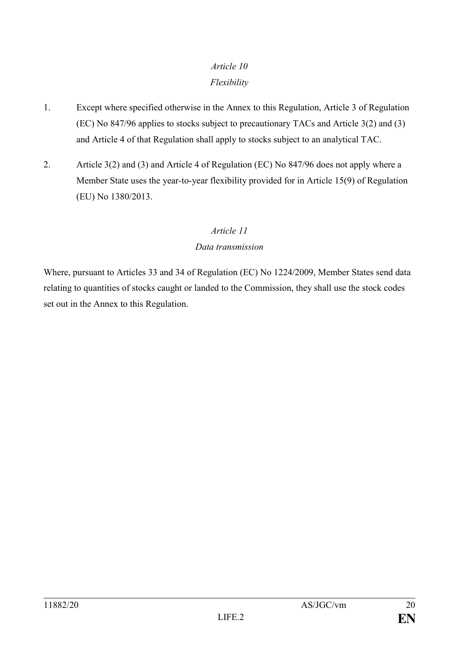# *Article 10 Flexibility*

- 1. Except where specified otherwise in the Annex to this Regulation, Article 3 of Regulation (EC) No 847/96 applies to stocks subject to precautionary TACs and Article 3(2) and (3) and Article 4 of that Regulation shall apply to stocks subject to an analytical TAC.
- 2. Article 3(2) and (3) and Article 4 of Regulation (EC) No 847/96 does not apply where a Member State uses the year-to-year flexibility provided for in Article 15(9) of Regulation (EU) No 1380/2013.

# *Article 11*

# *Data transmission*

Where, pursuant to Articles 33 and 34 of Regulation (EC) No 1224/2009, Member States send data relating to quantities of stocks caught or landed to the Commission, they shall use the stock codes set out in the Annex to this Regulation.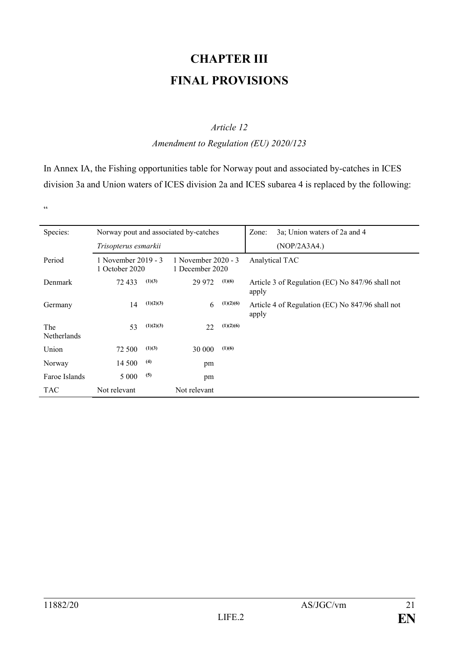# **CHAPTER III FINAL PROVISIONS**

#### *Article 12*

#### *Amendment to Regulation (EU) 2020/123*

In Annex IA, the Fishing opportunities table for Norway pout and associated by-catches in ICES division 3a and Union waters of ICES division 2a and ICES subarea 4 is replaced by the following:

"

| Species:           | Norway pout and associated by-catches |           |                                        |           | 3a; Union waters of 2a and 4<br>Zone:                     |
|--------------------|---------------------------------------|-----------|----------------------------------------|-----------|-----------------------------------------------------------|
|                    | Trisopterus esmarkii                  |           |                                        |           | (NOP/2A3A4.)                                              |
| Period             | 1 November 2019 - 3<br>1 October 2020 |           | 1 November 2020 - 3<br>1 December 2020 |           | Analytical TAC                                            |
| Denmark            | 72 433                                | (1)(3)    | 29 972                                 | (1)(6)    | Article 3 of Regulation (EC) No 847/96 shall not<br>apply |
| Germany            | 14                                    | (1)(2)(3) | 6                                      | (1)(2)(6) | Article 4 of Regulation (EC) No 847/96 shall not<br>apply |
| The<br>Netherlands | 53                                    | (1)(2)(3) | 22                                     | (1)(2)(6) |                                                           |
| Union              | 72 500                                | (1)(3)    | 30 000                                 | (1)(6)    |                                                           |
| Norway             | 14 500                                | (4)       | pm                                     |           |                                                           |
| Faroe Islands      | 5 0 0 0                               | (5)       | pm                                     |           |                                                           |
| <b>TAC</b>         | Not relevant                          |           | Not relevant                           |           |                                                           |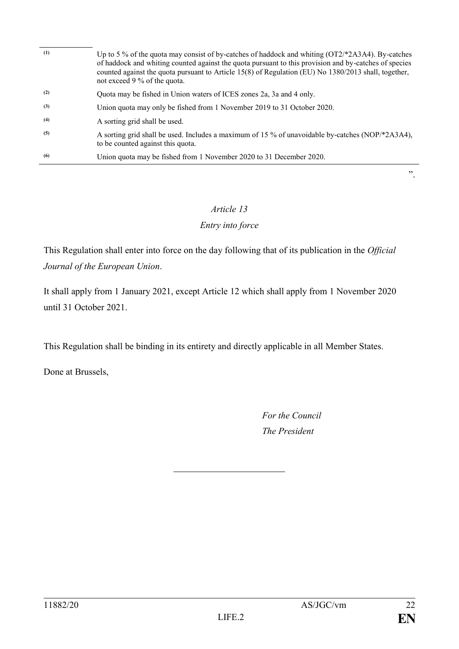| (1) | Up to 5 % of the quota may consist of by-catches of haddock and whiting (OT2/*2A3A4). By-catches<br>of haddock and whiting counted against the quota pursuant to this provision and by-catches of species<br>counted against the quota pursuant to Article 15(8) of Regulation (EU) No 1380/2013 shall, together,<br>not exceed 9 % of the quota. |
|-----|---------------------------------------------------------------------------------------------------------------------------------------------------------------------------------------------------------------------------------------------------------------------------------------------------------------------------------------------------|
| (2) | Quota may be fished in Union waters of ICES zones 2a, 3a and 4 only.                                                                                                                                                                                                                                                                              |
| (3) | Union quota may only be fished from 1 November 2019 to 31 October 2020.                                                                                                                                                                                                                                                                           |
| (4) | A sorting grid shall be used.                                                                                                                                                                                                                                                                                                                     |
| (5) | A sorting grid shall be used. Includes a maximum of 15 % of unavoidable by-catches (NOP/*2A3A4),<br>to be counted against this quota.                                                                                                                                                                                                             |
| (6) | Union quota may be fished from 1 November 2020 to 31 December 2020.                                                                                                                                                                                                                                                                               |
|     | , 2, 3                                                                                                                                                                                                                                                                                                                                            |

#### *Article 13*

#### *Entry into force*

This Regulation shall enter into force on the day following that of its publication in the *Official Journal of the European Union*.

It shall apply from 1 January 2021, except Article 12 which shall apply from 1 November 2020 until 31 October 2021.

This Regulation shall be binding in its entirety and directly applicable in all Member States.

Done at Brussels,

*For the Council The President*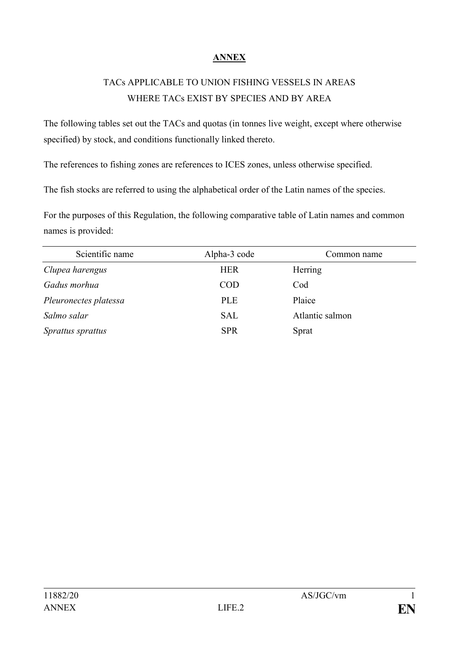# **ANNEX**

# TACs APPLICABLE TO UNION FISHING VESSELS IN AREAS WHERE TACs EXIST BY SPECIES AND BY AREA

The following tables set out the TACs and quotas (in tonnes live weight, except where otherwise specified) by stock, and conditions functionally linked thereto.

The references to fishing zones are references to ICES zones, unless otherwise specified.

The fish stocks are referred to using the alphabetical order of the Latin names of the species.

For the purposes of this Regulation, the following comparative table of Latin names and common names is provided:

| Scientific name       | Alpha-3 code | Common name     |
|-----------------------|--------------|-----------------|
| Clupea harengus       | <b>HER</b>   | Herring         |
| Gadus morhua          | <b>COD</b>   | Cod             |
| Pleuronectes platessa | <b>PLE</b>   | Plaice          |
| Salmo salar           | <b>SAL</b>   | Atlantic salmon |
| Sprattus sprattus     | <b>SPR</b>   | Sprat           |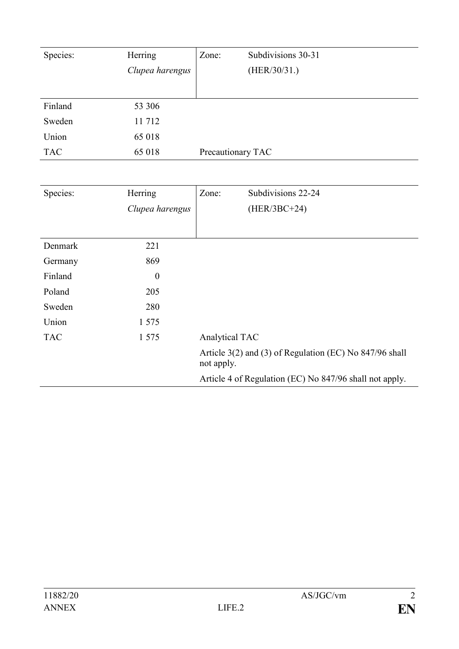| Species:   | Herring         | Zone:             | Subdivisions 30-31 |
|------------|-----------------|-------------------|--------------------|
|            | Clupea harengus |                   | (HER/30/31.)       |
|            |                 |                   |                    |
| Finland    | 53 306          |                   |                    |
| Sweden     | 11 712          |                   |                    |
| Union      | 65 018          |                   |                    |
| <b>TAC</b> | 65 018          | Precautionary TAC |                    |

| Species:   | Herring          | Zone:          | Subdivisions 22-24                                      |
|------------|------------------|----------------|---------------------------------------------------------|
|            | Clupea harengus  |                | $(HER/3BC+24)$                                          |
|            |                  |                |                                                         |
| Denmark    | 221              |                |                                                         |
| Germany    | 869              |                |                                                         |
| Finland    | $\boldsymbol{0}$ |                |                                                         |
| Poland     | 205              |                |                                                         |
| Sweden     | 280              |                |                                                         |
| Union      | 1 5 7 5          |                |                                                         |
| <b>TAC</b> | 1 5 7 5          | Analytical TAC |                                                         |
|            |                  | not apply.     | Article 3(2) and (3) of Regulation (EC) No 847/96 shall |
|            |                  |                | Article 4 of Regulation (EC) No 847/96 shall not apply. |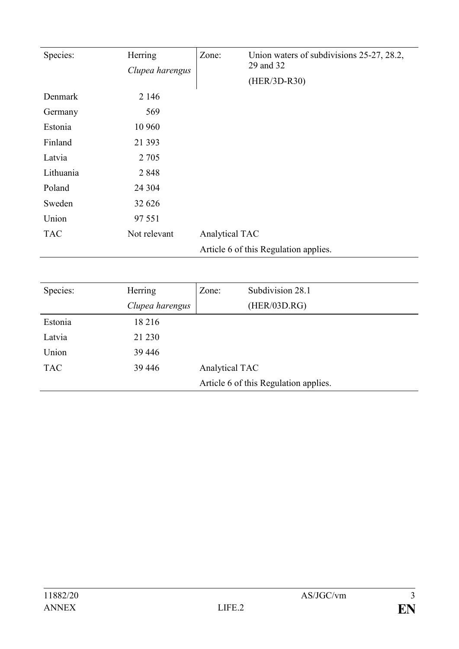| Species:   | Herring<br>Clupea harengus | Zone:          | Union waters of subdivisions 25-27, 28.2,<br>29 and 32<br>(HER/3D-R30) |
|------------|----------------------------|----------------|------------------------------------------------------------------------|
| Denmark    | 2 1 4 6                    |                |                                                                        |
| Germany    | 569                        |                |                                                                        |
| Estonia    | 10 960                     |                |                                                                        |
| Finland    | 21 3 9 3                   |                |                                                                        |
| Latvia     | 2 7 0 5                    |                |                                                                        |
| Lithuania  | 2848                       |                |                                                                        |
| Poland     | 24 304                     |                |                                                                        |
| Sweden     | 32 626                     |                |                                                                        |
| Union      | 97 551                     |                |                                                                        |
| <b>TAC</b> | Not relevant               | Analytical TAC |                                                                        |
|            |                            |                | Article 6 of this Regulation applies.                                  |

| Species:   | Herring         | Zone:          | Subdivision 28.1                      |
|------------|-----------------|----------------|---------------------------------------|
|            | Clupea harengus |                | (HER/03D.RG)                          |
| Estonia    | 18 216          |                |                                       |
| Latvia     | 21 230          |                |                                       |
| Union      | 39 4 4 6        |                |                                       |
| <b>TAC</b> | 39 4 4 6        | Analytical TAC |                                       |
|            |                 |                | Article 6 of this Regulation applies. |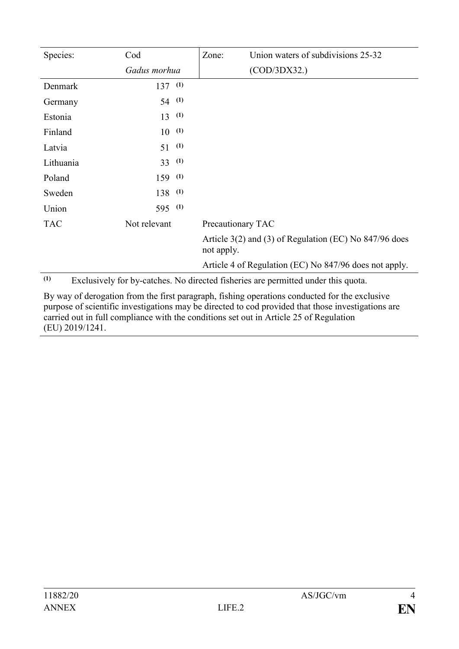| Species:   | Cod          | Zone:             | Union waters of subdivisions 25-32                                                |
|------------|--------------|-------------------|-----------------------------------------------------------------------------------|
|            | Gadus morhua |                   | (COD/3DX32.)                                                                      |
| Denmark    | $137^{(1)}$  |                   |                                                                                   |
| Germany    | $54^{(1)}$   |                   |                                                                                   |
| Estonia    | (1)<br>13    |                   |                                                                                   |
| Finland    | (1)<br>10    |                   |                                                                                   |
| Latvia     | (1)<br>51    |                   |                                                                                   |
| Lithuania  | (1)<br>33    |                   |                                                                                   |
| Poland     | $159$ (1)    |                   |                                                                                   |
| Sweden     | $138^{(1)}$  |                   |                                                                                   |
| Union      | (1)<br>595   |                   |                                                                                   |
| <b>TAC</b> | Not relevant | Precautionary TAC |                                                                                   |
|            |              | not apply.        | Article 3(2) and (3) of Regulation (EC) No 847/96 does                            |
|            |              |                   | Article 4 of Regulation (EC) No 847/96 does not apply.                            |
| (1)        |              |                   | Exclusively for by-catches. No directed fisheries are permitted under this quota. |

By way of derogation from the first paragraph, fishing operations conducted for the exclusive purpose of scientific investigations may be directed to cod provided that those investigations are carried out in full compliance with the conditions set out in Article 25 of Regulation (EU) 2019/1241.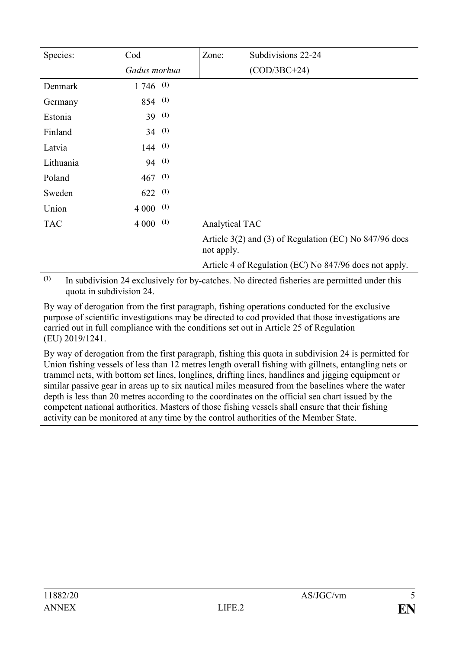| Species:   | Cod          |     | Zone:          | Subdivisions 22-24                                     |
|------------|--------------|-----|----------------|--------------------------------------------------------|
|            | Gadus morhua |     |                | $(COD/3BC+24)$                                         |
| Denmark    | $1746$ (1)   |     |                |                                                        |
| Germany    | $854$ (1)    |     |                |                                                        |
| Estonia    | $39^{(1)}$   |     |                |                                                        |
| Finland    | $34^{(1)}$   |     |                |                                                        |
| Latvia     | $144$ (1)    |     |                |                                                        |
| Lithuania  | 94 (1)       |     |                |                                                        |
| Poland     | $467$ (1)    |     |                |                                                        |
| Sweden     | $622$ (1)    |     |                |                                                        |
| Union      | $4000$ (1)   |     |                |                                                        |
| <b>TAC</b> | 4 0 0 0      | (1) | Analytical TAC |                                                        |
|            |              |     | not apply.     | Article 3(2) and (3) of Regulation (EC) No 847/96 does |
|            |              |     |                | Article 4 of Regulation (EC) No 847/96 does not apply. |

**(1)** In subdivision 24 exclusively for by-catches. No directed fisheries are permitted under this quota in subdivision 24.

By way of derogation from the first paragraph, fishing operations conducted for the exclusive purpose of scientific investigations may be directed to cod provided that those investigations are carried out in full compliance with the conditions set out in Article 25 of Regulation (EU) 2019/1241.

By way of derogation from the first paragraph, fishing this quota in subdivision 24 is permitted for Union fishing vessels of less than 12 metres length overall fishing with gillnets, entangling nets or trammel nets, with bottom set lines, longlines, drifting lines, handlines and jigging equipment or similar passive gear in areas up to six nautical miles measured from the baselines where the water depth is less than 20 metres according to the coordinates on the official sea chart issued by the competent national authorities. Masters of those fishing vessels shall ensure that their fishing activity can be monitored at any time by the control authorities of the Member State.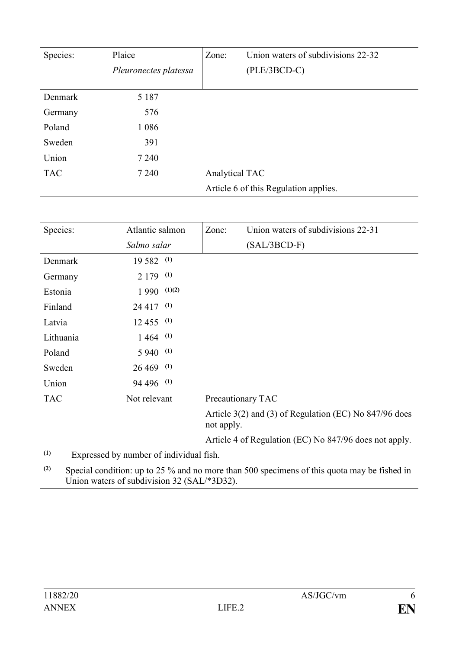| Species:   | Plaice                | Union waters of subdivisions 22-32<br>Zone: |
|------------|-----------------------|---------------------------------------------|
|            | Pleuronectes platessa | $(PLE/3BCD-C)$                              |
|            |                       |                                             |
| Denmark    | 5 1 8 7               |                                             |
| Germany    | 576                   |                                             |
| Poland     | 1 0 8 6               |                                             |
| Sweden     | 391                   |                                             |
| Union      | 7 2 4 0               |                                             |
| <b>TAC</b> | 7 2 4 0               | Analytical TAC                              |
|            |                       | Article 6 of this Regulation applies.       |

| Species:   | Atlantic salmon     | Union waters of subdivisions 22-31<br>Zone:                          |
|------------|---------------------|----------------------------------------------------------------------|
|            | Salmo salar         | $(SAL/3BCD-F)$                                                       |
| Denmark    | $19582$ (1)         |                                                                      |
| Germany    | $2179$ (1)          |                                                                      |
| Estonia    | $1\,990\quad(1)(2)$ |                                                                      |
| Finland    | $24\,417$ (1)       |                                                                      |
| Latvia     | $12\,455\quad(1)$   |                                                                      |
| Lithuania  | $1464$ (1)          |                                                                      |
| Poland     | $5940^{(1)}$        |                                                                      |
| Sweden     | $26\,469$ (1)       |                                                                      |
| Union      | 94 496 (1)          |                                                                      |
| <b>TAC</b> | Not relevant        | Precautionary TAC                                                    |
|            |                     | Article 3(2) and (3) of Regulation (EC) No 847/96 does<br>not apply. |
|            |                     | Article 4 of Regulation (EC) No 847/96 does not apply.               |

**(1)** Expressed by number of individual fish.

**(2)** Special condition: up to 25 % and no more than 500 specimens of this quota may be fished in Union waters of subdivision 32 (SAL/\*3D32).